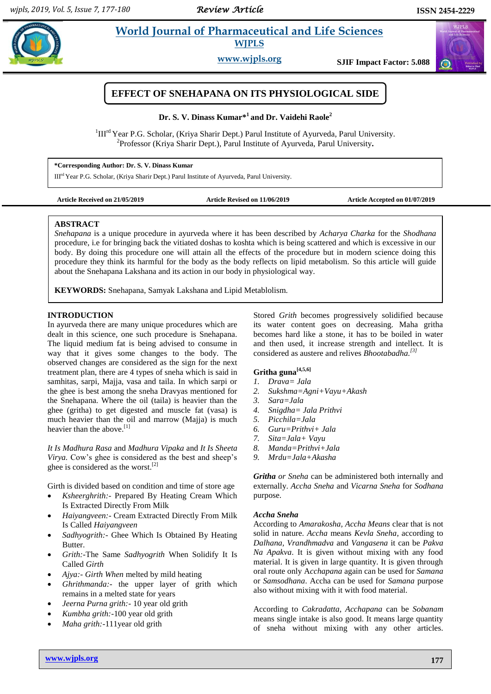# **Example 3** *Euclid* **Vorld Journal of Pharmaceutical and Life Sciences <b>Algebrar WJPLS**

**www.wjpls.org SJIF Impact Factor: 5.088**



**Dr. S. V. Dinass Kumar\* 1 and Dr. Vaidehi Raole<sup>2</sup>**

<sup>1</sup>III<sup>rd</sup> Year P.G. Scholar, (Kriya Sharir Dept.) Parul Institute of Ayurveda, Parul University. 2 Professor (Kriya Sharir Dept.), Parul Institute of Ayurveda, Parul University**.**

**\*Corresponding Author: Dr. S. V. Dinass Kumar**

IIIrd Year P.G. Scholar, (Kriya Sharir Dept.) Parul Institute of Ayurveda, Parul University.

**Article Received on 21/05/2019 Article Revised on 11/06/2019 Article Accepted on 01/07/2019**

# **ABSTRACT**

*Snehapana* is a unique procedure in ayurveda where it has been described by *Acharya Charka* for the *Shodhana* procedure, i.e for bringing back the vitiated doshas to koshta which is being scattered and which is excessive in our body. By doing this procedure one will attain all the effects of the procedure but in modern science doing this procedure they think its harmful for the body as the body reflects on lipid metabolism. So this article will guide about the Snehapana Lakshana and its action in our body in physiological way.

**KEYWORDS:** Snehapana, Samyak Lakshana and Lipid Metablolism.

# **INTRODUCTION**

In ayurveda there are many unique procedures which are dealt in this science, one such procedure is Snehapana. The liquid medium fat is being advised to consume in way that it gives some changes to the body. The observed changes are considered as the sign for the next treatment plan, there are 4 types of sneha which is said in samhitas, sarpi, Majja, vasa and taila. In which sarpi or the ghee is best among the sneha Dravyas mentioned for the Snehapana. Where the oil (taila) is heavier than the ghee (gritha) to get digested and muscle fat (vasa) is much heavier than the oil and marrow (Majja) is much heavier than the above.<sup>[1]</sup>

*It Is Madhura Rasa* and *Madhura Vipaka* and *It Is Sheeta Virya.* Cow's ghee is considered as the best and sheep's ghee is considered as the worst.<sup>[2]</sup>

Girth is divided based on condition and time of store age

- *Ksheerghrith:-* Prepared By Heating Cream Which Is Extracted Directly From Milk
- *Haiyangveen:-* Cream Extracted Directly From Milk Is Called *Haiyangveen*
- *Sadhyogrith:-* Ghee Which Is Obtained By Heating **Butter**
- *Grith:-*The Same *Sadhyogrith* When Solidify It Is Called *Girth*
- *Ajya:- Girth When* melted by mild heating
- *Ghrithmanda:-* the upper layer of grith which remains in a melted state for years
- *Jeerna Purna grith:-* 10 year old grith
- *Kumbha grith:-*100 year old grith
- *Maha grith:-*111year old grith

Stored *Grith* becomes progressively solidified because its water content goes on decreasing. Maha gritha becomes hard like a stone, it has to be boiled in water and then used, it increase strength and intellect. It is considered as austere and relives *Bhootabadha. [3]*

# **Gritha guna[4,5,6]**

- *1. Drava= Jala*
- *2. Sukshma=Agni+Vayu+Akash*
- *3. Sara=Jala*
- *4. Snigdha= Jala Prithvi*
- *5. Picchila=Jala*
- *6. Guru=Prithvi+ Jala*
- *7. Sita=Jala+ Vayu*
- *8. Manda=Prithvi+Jala*
- *9. Mrdu=Jala+Akasha*

*Gritha or Sneha* can be administered both internally and externally. *Accha Sneha* and *Vicarna Sneha* for *Sodhana* purpose.

# *Accha Sneha*

According to *Amarakosha, Accha Means* clear that is not solid in nature. *Accha* means *Kevla Sneha*, according to *Dalhana, Vrandhmadva* and *Vangasena* it can be *Pakva Na Apakva*. It is given without mixing with any food material. It is given in large quantity. It is given through oral route only A*cchapana* again can be used for *Samana*  or *Samsodhana*. Accha can be used for *Samana* purpose also without mixing with it with food material.

According to *Cakradatta, Acchapana* can be *Sobanam* means single intake is also good. It means large quantity of sneha without mixing with any other articles.

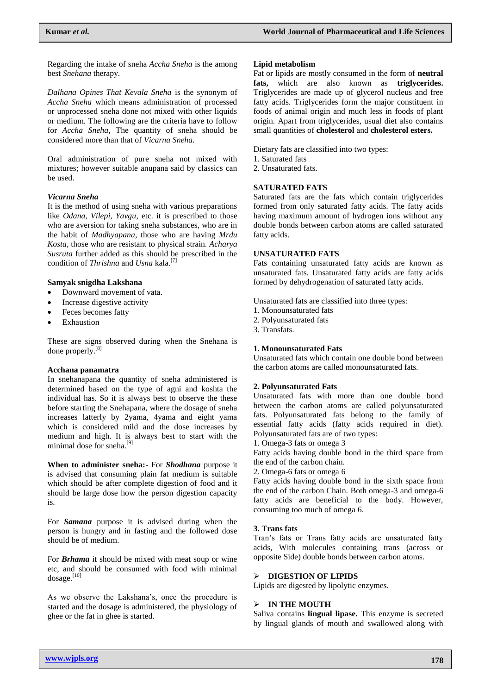Regarding the intake of sneha *Accha Sneha* is the among best *Snehana* therapy.

*Dalhana Opines That Kevala Sneha* is the synonym of *Accha Sneha* which means administration of processed or unprocessed sneha done not mixed with other liquids or medium. The following are the criteria have to follow for *Accha Sneha,* The quantity of sneha should be considered more than that of *Vicarna Sneha.*

Oral administration of pure sneha not mixed with mixtures; however suitable anupana said by classics can be used.

# *Vicarna Sneha*

It is the method of using sneha with various preparations like *Odana, Vilepi, Yavgu*, etc. it is prescribed to those who are aversion for taking sneha substances, who are in the habit of *Madhyapana*, those who are having *Mrdu Kosta,* those who are resistant to physical strain. *Acharya Susruta* further added as this should be prescribed in the condition of *Thrishna* and *Usna* kala.<sup>[7]</sup>

## **Samyak snigdha Lakshana**

- Downward movement of vata.
- Increase digestive activity
- Feces becomes fatty
- Exhaustion

These are signs observed during when the Snehana is done properly.<sup>[8]</sup>

## **Acchana panamatra**

In snehanapana the quantity of sneha administered is determined based on the type of agni and koshta the individual has. So it is always best to observe the these before starting the Snehapana, where the dosage of sneha increases latterly by 2yama, 4yama and eight yama which is considered mild and the dose increases by medium and high. It is always best to start with the minimal dose for sneha.<sup>[9]</sup>

**When to administer sneha:-** For *Shodhana* purpose it is advised that consuming plain fat medium is suitable which should be after complete digestion of food and it should be large dose how the person digestion capacity is.

For *Samana* purpose it is advised during when the person is hungry and in fasting and the followed dose should be of medium.

For *Brhama* it should be mixed with meat soup or wine etc, and should be consumed with food with minimal dosage.<sup>[10]</sup>

As we observe the Lakshana's, once the procedure is started and the dosage is administered, the physiology of ghee or the fat in ghee is started.

#### **Lipid metabolism**

Fat or lipids are mostly consumed in the form of **neutral fats,** which are also known as **triglycerides.**  Triglycerides are made up of glycerol nucleus and free fatty acids. Triglycerides form the major constituent in foods of animal origin and much less in foods of plant origin. Apart from triglycerides, usual diet also contains small quantities of **cholesterol** and **cholesterol esters.**

Dietary fats are classified into two types:

- 1. Saturated fats
- 2. Unsaturated fats.

# **SATURATED FATS**

Saturated fats are the fats which contain triglycerides formed from only saturated fatty acids. The fatty acids having maximum amount of hydrogen ions without any double bonds between carbon atoms are called saturated fatty acids.

## **UNSATURATED FATS**

Fats containing unsaturated fatty acids are known as unsaturated fats. Unsaturated fatty acids are fatty acids formed by dehydrogenation of saturated fatty acids.

Unsaturated fats are classified into three types:

1. Monounsaturated fats

2. Polyunsaturated fats

3. Transfats.

## **1. Monounsaturated Fats**

Unsaturated fats which contain one double bond between the carbon atoms are called monounsaturated fats.

# **2. Polyunsaturated Fats**

Unsaturated fats with more than one double bond between the carbon atoms are called polyunsaturated fats. Polyunsaturated fats belong to the family of essential fatty acids (fatty acids required in diet). Polyunsaturated fats are of two types:

1. Omega-3 fats or omega 3

Fatty acids having double bond in the third space from the end of the carbon chain.

2. Omega-6 fats or omega 6

Fatty acids having double bond in the sixth space from the end of the carbon Chain. Both omega-3 and omega-6 fatty acids are beneficial to the body. However, consuming too much of omega 6.

## **3. Trans fats**

Tran's fats or Trans fatty acids are unsaturated fatty acids, With molecules containing trans (across or opposite Side) double bonds between carbon atoms.

# **DIGESTION OF LIPIDS**

Lipids are digested by lipolytic enzymes.

# **IN THE MOUTH**

Saliva contains **lingual lipase.** This enzyme is secreted by lingual glands of mouth and swallowed along with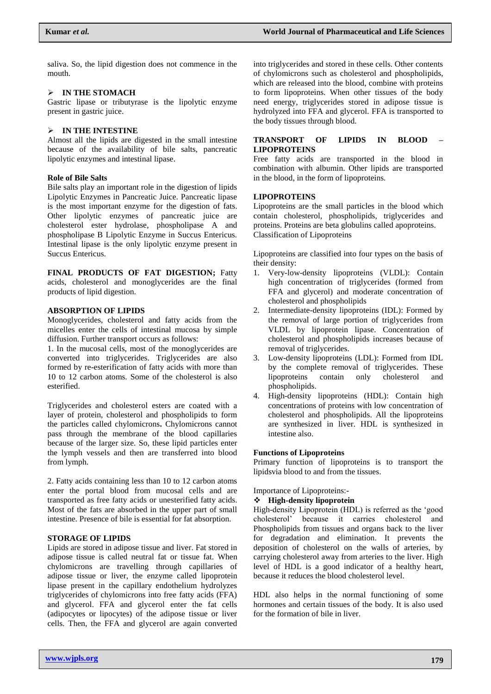saliva. So, the lipid digestion does not commence in the mouth.

# **IN THE STOMACH**

Gastric lipase or tributyrase is the lipolytic enzyme present in gastric juice.

# **IN THE INTESTINE**

Almost all the lipids are digested in the small intestine because of the availability of bile salts, pancreatic lipolytic enzymes and intestinal lipase.

# **Role of Bile Salts**

Bile salts play an important role in the digestion of lipids Lipolytic Enzymes in Pancreatic Juice. Pancreatic lipase is the most important enzyme for the digestion of fats. Other lipolytic enzymes of pancreatic juice are cholesterol ester hydrolase, phospholipase A and phospholipase B Lipolytic Enzyme in Succus Entericus. Intestinal lipase is the only lipolytic enzyme present in Succus Entericus.

**FINAL PRODUCTS OF FAT DIGESTION;** Fatty acids, cholesterol and monoglycerides are the final products of lipid digestion.

# **ABSORPTION OF LIPIDS**

Monoglycerides, cholesterol and fatty acids from the micelles enter the cells of intestinal mucosa by simple diffusion. Further transport occurs as follows:

1. In the mucosal cells, most of the monoglycerides are converted into triglycerides. Triglycerides are also formed by re-esterification of fatty acids with more than 10 to 12 carbon atoms. Some of the cholesterol is also esterified.

Triglycerides and cholesterol esters are coated with a layer of protein, cholesterol and phospholipids to form the particles called chylomicrons**.** Chylomicrons cannot pass through the membrane of the blood capillaries because of the larger size. So, these lipid particles enter the lymph vessels and then are transferred into blood from lymph.

2. Fatty acids containing less than 10 to 12 carbon atoms enter the portal blood from mucosal cells and are transported as free fatty acids or unesterified fatty acids. Most of the fats are absorbed in the upper part of small intestine. Presence of bile is essential for fat absorption.

# **STORAGE OF LIPIDS**

Lipids are stored in adipose tissue and liver. Fat stored in adipose tissue is called neutral fat or tissue fat. When chylomicrons are travelling through capillaries of adipose tissue or liver, the enzyme called lipoprotein lipase present in the capillary endothelium hydrolyzes triglycerides of chylomicrons into free fatty acids (FFA) and glycerol. FFA and glycerol enter the fat cells (adipocytes or lipocytes) of the adipose tissue or liver cells. Then, the FFA and glycerol are again converted

into triglycerides and stored in these cells. Other contents of chylomicrons such as cholesterol and phospholipids, which are released into the blood, combine with proteins to form lipoproteins. When other tissues of the body need energy, triglycerides stored in adipose tissue is hydrolyzed into FFA and glycerol. FFA is transported to the body tissues through blood.

# **TRANSPORT OF LIPIDS IN BLOOD – LIPOPROTEINS**

Free fatty acids are transported in the blood in combination with albumin. Other lipids are transported in the blood, in the form of lipoproteins.

# **LIPOPROTEINS**

Lipoproteins are the small particles in the blood which contain cholesterol, phospholipids, triglycerides and proteins. Proteins are beta globulins called apoproteins. Classification of Lipoproteins

Lipoproteins are classified into four types on the basis of their density:

- 1. Very-low-density lipoproteins (VLDL): Contain high concentration of triglycerides (formed from FFA and glycerol) and moderate concentration of cholesterol and phospholipids
- 2. Intermediate-density lipoproteins (IDL): Formed by the removal of large portion of triglycerides from VLDL by lipoprotein lipase. Concentration of cholesterol and phospholipids increases because of removal of triglycerides.
- 3. Low-density lipoproteins (LDL): Formed from IDL by the complete removal of triglycerides. These lipoproteins contain only cholesterol and phospholipids.
- 4. High-density lipoproteins (HDL): Contain high concentrations of proteins with low concentration of cholesterol and phospholipids. All the lipoproteins are synthesized in liver. HDL is synthesized in intestine also.

## **Functions of Lipoproteins**

Primary function of lipoproteins is to transport the lipidsvia blood to and from the tissues.

Importance of Lipoproteins:-

## **High-density lipoprotein**

High-density Lipoprotein (HDL) is referred as the 'good cholesterol' because it carries cholesterol and Phospholipids from tissues and organs back to the liver for degradation and elimination. It prevents the deposition of cholesterol on the walls of arteries, by carrying cholesterol away from arteries to the liver. High level of HDL is a good indicator of a healthy heart, because it reduces the blood cholesterol level.

HDL also helps in the normal functioning of some hormones and certain tissues of the body. It is also used for the formation of bile in liver.